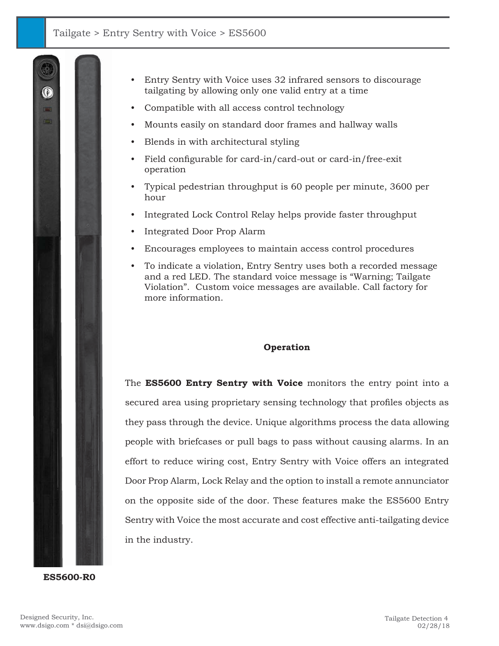

**ES5600-R0**

- Entry Sentry with Voice uses 32 infrared sensors to discourage tailgating by allowing only one valid entry at a time
- Compatible with all access control technology
- Mounts easily on standard door frames and hallway walls
- Blends in with architectural styling
- Field configurable for card-in/card-out or card-in/free-exit operation
- Typical pedestrian throughput is 60 people per minute, 3600 per hour
- Integrated Lock Control Relay helps provide faster throughput
- Integrated Door Prop Alarm
- Encourages employees to maintain access control procedures
- To indicate a violation, Entry Sentry uses both a recorded message and a red LED. The standard voice message is "Warning; Tailgate Violation". Custom voice messages are available. Call factory for more information.

### **Operation**

The **ES5600 Entry Sentry with Voice** monitors the entry point into a secured area using proprietary sensing technology that profiles objects as they pass through the device. Unique algorithms process the data allowing people with briefcases or pull bags to pass without causing alarms. In an effort to reduce wiring cost, Entry Sentry with Voice offers an integrated Door Prop Alarm, Lock Relay and the option to install a remote annunciator on the opposite side of the door. These features make the ES5600 Entry Sentry with Voice the most accurate and cost effective anti-tailgating device in the industry.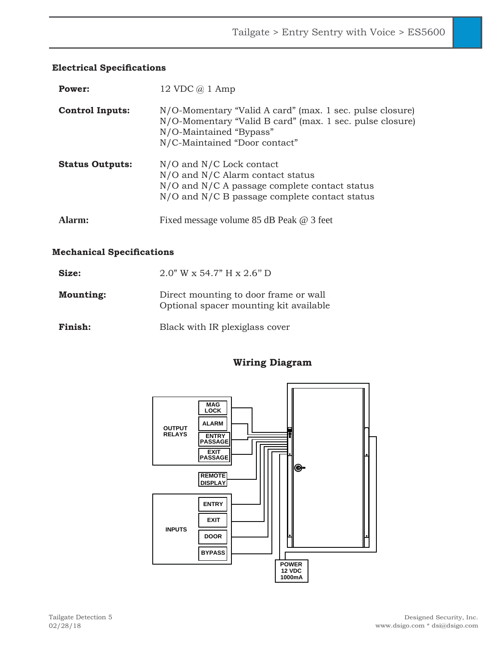# **Electrical Specifications**

| Power:                 | 12 VDC $\omega$ 1 Amp                                                                                                                                                            |
|------------------------|----------------------------------------------------------------------------------------------------------------------------------------------------------------------------------|
| <b>Control Inputs:</b> | N/O-Momentary "Valid A card" (max. 1 sec. pulse closure)<br>N/O-Momentary "Valid B card" (max. 1 sec. pulse closure)<br>N/O-Maintained "Bypass"<br>N/C-Maintained "Door contact" |
| <b>Status Outputs:</b> | $N/O$ and $N/C$ Lock contact<br>N/O and N/C Alarm contact status<br>$N/O$ and $N/C$ A passage complete contact status<br>N/O and N/C B passage complete contact status           |
| Alarm:                 | Fixed message volume 85 dB Peak @ 3 feet                                                                                                                                         |

### **Mechanical Specifications**

| Size:            | $2.0$ " W x 54.7" H x $2.6$ " D                                                 |
|------------------|---------------------------------------------------------------------------------|
| <b>Mounting:</b> | Direct mounting to door frame or wall<br>Optional spacer mounting kit available |
| Finish:          | Black with IR plexiglass cover                                                  |

# **Wiring Diagram**

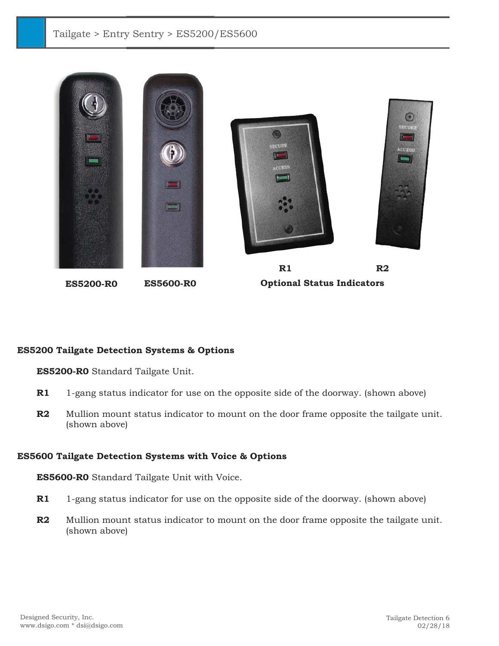## Tailgate > Entry Sentry > ES5200/ES5600



### **ES5200 Tailgate Detection Systems & Options**

 **ES5200-R0** Standard Tailgate Unit.

- **R1** 1-gang status indicator for use on the opposite side of the doorway. (shown above)
- **R2** Mullion mount status indicator to mount on the door frame opposite the tailgate unit. (shown above)

### **ES5600 Tailgate Detection Systems with Voice & Options**

 **ES5600-R0** Standard Tailgate Unit with Voice.

- **R1** 1-gang status indicator for use on the opposite side of the doorway. (shown above)
- **R2** Mullion mount status indicator to mount on the door frame opposite the tailgate unit. (shown above)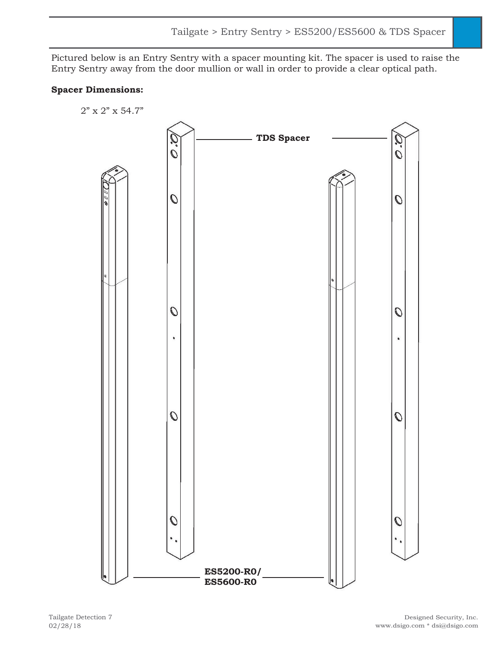Pictured below is an Entry Sentry with a spacer mounting kit. The spacer is used to raise the Entry Sentry away from the door mullion or wall in order to provide a clear optical path.

### **Spacer Dimensions:**